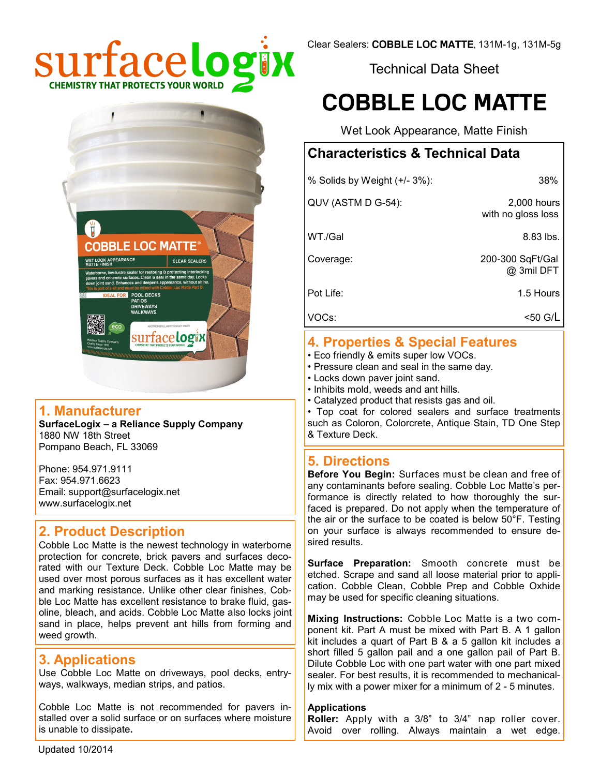

Technical Data Sheet

# **COBBLE LOC MATTE**

Wet Look Appearance, Matte Finish

# **Characteristics & Technical Data**

| % Solids by Weight (+/- 3%): | 38%                               |
|------------------------------|-----------------------------------|
| QUV (ASTM D G-54):           | 2,000 hours<br>with no gloss loss |
| WT./Gal                      | $8.83$ lbs.                       |
| Coverage:                    | 200-300 SqFt/Gal<br>@ 3mil DFT    |
| Pot Life:                    | 1.5 Hours                         |
| VOCs:                        | <50 G/L                           |

# **4. Properties & Special Features**

- Eco friendly & emits super low VOCs.
- Pressure clean and seal in the same day.
- Locks down paver joint sand.
- Inhibits mold, weeds and ant hills.
- Catalyzed product that resists gas and oil.

• Top coat for colored sealers and surface treatments such as Coloron, Colorcrete, Antique Stain, TD One Step & Texture Deck.

#### **5. Directions**

**Before You Begin:** Surfaces must be clean and free of any contaminants before sealing. Cobble Loc Matte's performance is directly related to how thoroughly the surfaced is prepared. Do not apply when the temperature of the air or the surface to be coated is below 50°F. Testing on your surface is always recommended to ensure desired results.

**Surface Preparation:** Smooth concrete must be etched. Scrape and sand all loose material prior to application. Cobble Clean, Cobble Prep and Cobble Oxhide may be used for specific cleaning situations.

**Mixing Instructions:** Cobble Loc Matte is a two component kit. Part A must be mixed with Part B. A 1 gallon kit includes a quart of Part B & a 5 gallon kit includes a short filled 5 gallon pail and a one gallon pail of Part B. Dilute Cobble Loc with one part water with one part mixed sealer. For best results, it is recommended to mechanically mix with a power mixer for a minimum of 2 - 5 minutes.

#### **Applications**

**Roller:** Apply with a 3/8" to 3/4" nap roller cover. Avoid over rolling. Always maintain a wet edge.



### **1. Manufacturer**

**SurfaceLogix – a Reliance Supply Company** 1880 NW 18th Street Pompano Beach, FL 33069

Phone: 954.971.9111 Fax: 954.971.6623 Email: support@surfacelogix.net www.surfacelogix.net

# **2. Product Description**

Cobble Loc Matte is the newest technology in waterborne protection for concrete, brick pavers and surfaces decorated with our Texture Deck. Cobble Loc Matte may be used over most porous surfaces as it has excellent water and marking resistance. Unlike other clear finishes, Cobble Loc Matte has excellent resistance to brake fluid, gasoline, bleach, and acids. Cobble Loc Matte also locks joint sand in place, helps prevent ant hills from forming and weed growth.

# **3. Applications**

Use Cobble Loc Matte on driveways, pool decks, entryways, walkways, median strips, and patios.

Cobble Loc Matte is not recommended for pavers installed over a solid surface or on surfaces where moisture is unable to dissipate**.**